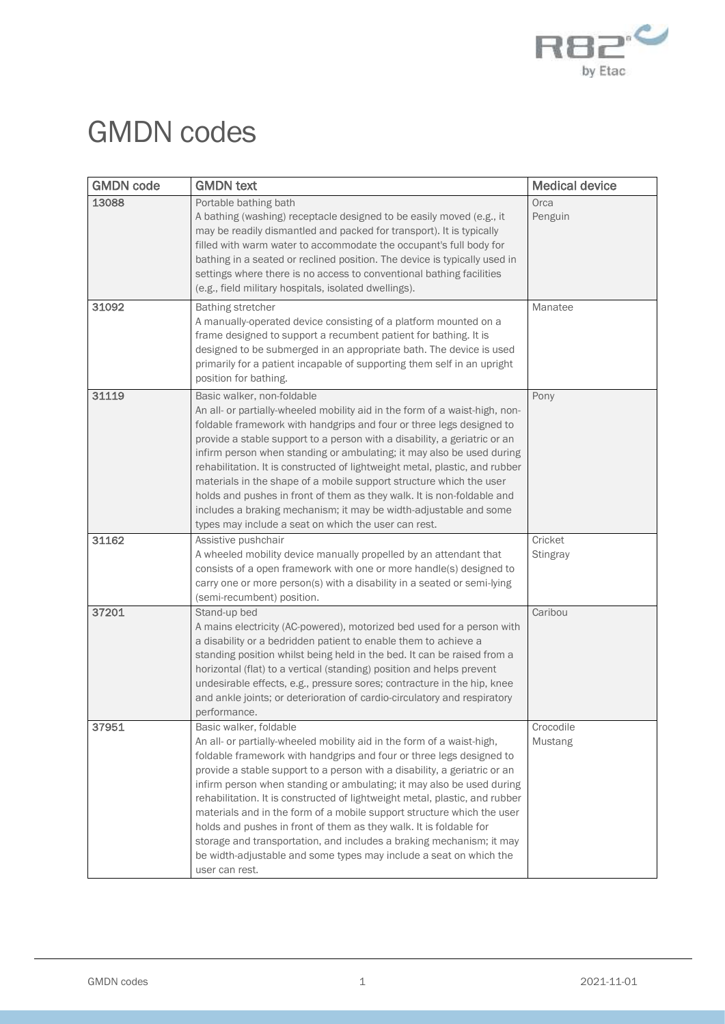

## GMDN codes

| <b>GMDN</b> code | <b>GMDN text</b>                                                                                                                                                                                                                                                                                                                                                                                                                                                                                                                                                                                                                                                                                                              | <b>Medical device</b>       |
|------------------|-------------------------------------------------------------------------------------------------------------------------------------------------------------------------------------------------------------------------------------------------------------------------------------------------------------------------------------------------------------------------------------------------------------------------------------------------------------------------------------------------------------------------------------------------------------------------------------------------------------------------------------------------------------------------------------------------------------------------------|-----------------------------|
| 13088            | Portable bathing bath<br>A bathing (washing) receptacle designed to be easily moved (e.g., it<br>may be readily dismantled and packed for transport). It is typically<br>filled with warm water to accommodate the occupant's full body for<br>bathing in a seated or reclined position. The device is typically used in<br>settings where there is no access to conventional bathing facilities<br>(e.g., field military hospitals, isolated dwellings).                                                                                                                                                                                                                                                                     | Orca<br>Penguin             |
| 31092            | <b>Bathing stretcher</b><br>A manually-operated device consisting of a platform mounted on a<br>frame designed to support a recumbent patient for bathing. It is<br>designed to be submerged in an appropriate bath. The device is used<br>primarily for a patient incapable of supporting them self in an upright<br>position for bathing.                                                                                                                                                                                                                                                                                                                                                                                   | Manatee                     |
| 31119            | Basic walker, non-foldable<br>An all- or partially-wheeled mobility aid in the form of a waist-high, non-<br>foldable framework with handgrips and four or three legs designed to<br>provide a stable support to a person with a disability, a geriatric or an<br>infirm person when standing or ambulating; it may also be used during<br>rehabilitation. It is constructed of lightweight metal, plastic, and rubber<br>materials in the shape of a mobile support structure which the user<br>holds and pushes in front of them as they walk. It is non-foldable and<br>includes a braking mechanism; it may be width-adjustable and some<br>types may include a seat on which the user can rest.                          | Pony                        |
| 31162            | Assistive pushchair<br>A wheeled mobility device manually propelled by an attendant that<br>consists of a open framework with one or more handle(s) designed to<br>carry one or more person(s) with a disability in a seated or semi-lying<br>(semi-recumbent) position.                                                                                                                                                                                                                                                                                                                                                                                                                                                      | Cricket<br><b>Stingray</b>  |
| 37201            | Stand-up bed<br>A mains electricity (AC-powered), motorized bed used for a person with<br>a disability or a bedridden patient to enable them to achieve a<br>standing position whilst being held in the bed. It can be raised from a<br>horizontal (flat) to a vertical (standing) position and helps prevent<br>undesirable effects, e.g., pressure sores; contracture in the hip, knee<br>and ankle joints; or deterioration of cardio-circulatory and respiratory<br>performance.                                                                                                                                                                                                                                          | Caribou                     |
| 37951            | Basic walker, foldable<br>An all- or partially-wheeled mobility aid in the form of a waist-high,<br>foldable framework with handgrips and four or three legs designed to<br>provide a stable support to a person with a disability, a geriatric or an<br>infirm person when standing or ambulating; it may also be used during<br>rehabilitation. It is constructed of lightweight metal, plastic, and rubber<br>materials and in the form of a mobile support structure which the user<br>holds and pushes in front of them as they walk. It is foldable for<br>storage and transportation, and includes a braking mechanism; it may<br>be width-adjustable and some types may include a seat on which the<br>user can rest. | Crocodile<br><b>Mustang</b> |